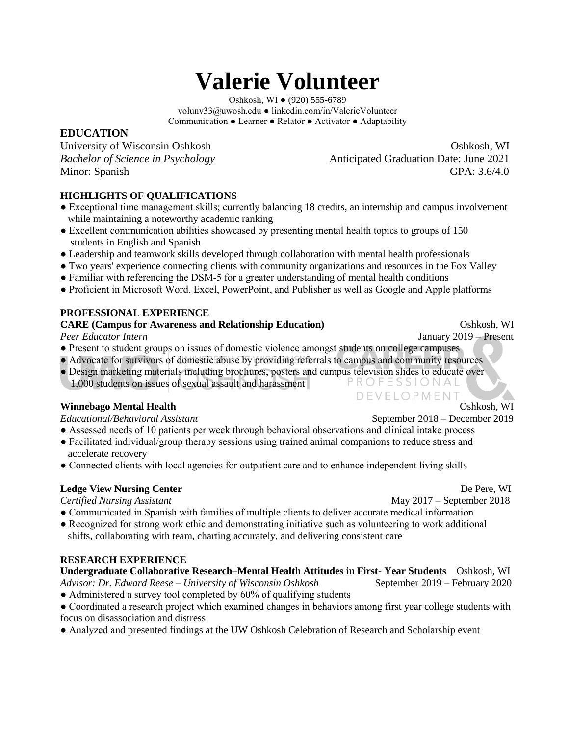# **Valerie Volunteer**

Oshkosh, WI ● (920) 555-6789 volunv33@uwosh.edu ● linkedin.com/in/ValerieVolunteer Communication ● Learner ● Relator ● Activator ● Adaptability

# **EDUCATION**

University of Wisconsin Oshkosh Oshkosh, WI *Bachelor of Science in Psychology* **Anticipated Graduation Date: June 2021** Minor: Spanish GPA: 3.6/4.0

## **HIGHLIGHTS OF QUALIFICATIONS**

- Exceptional time management skills; currently balancing 18 credits, an internship and campus involvement while maintaining a noteworthy academic ranking
- Excellent communication abilities showcased by presenting mental health topics to groups of 150 students in English and Spanish
- Leadership and teamwork skills developed through collaboration with mental health professionals
- Two years' experience connecting clients with community organizations and resources in the Fox Valley
- Familiar with referencing the DSM-5 for a greater understanding of mental health conditions
- Proficient in Microsoft Word, Excel, PowerPoint, and Publisher as well as Google and Apple platforms

#### **PROFESSIONAL EXPERIENCE**

#### **CARE (Campus for Awareness and Relationship Education) CARE (Campus for Awareness and Relationship Education)**

*Peer Educator Intern* January 2019 – Present

- Present to student groups on issues of domestic violence amongst students on college campuses
- Advocate for survivors of domestic abuse by providing referrals to campus and community resources
- Design marketing materials including brochures, posters and campus television slides to educate over PROFESSIONAL 1,000 students on issues of sexual assault and harassment

#### **Winnebago Mental Health Oshkosh, WI**

- Assessed needs of 10 patients per week through behavioral observations and clinical intake process
- Facilitated individual/group therapy sessions using trained animal companions to reduce stress and accelerate recovery
- Connected clients with local agencies for outpatient care and to enhance independent living skills

#### **Ledge View Nursing Center Department of the U.S. Contract Contract Contract Contract Contract Contract Contract Contract Contract Contract Contract Contract Contract Contract Contract Contract Contract Contract Contract**

- *Certified Nursing Assistant* May 2017 September 2018
- Communicated in Spanish with families of multiple clients to deliver accurate medical information ● Recognized for strong work ethic and demonstrating initiative such as volunteering to work additional shifts, collaborating with team, charting accurately, and delivering consistent care

#### **RESEARCH EXPERIENCE**

# **Undergraduate Collaborative Research–Mental Health Attitudes in First- Year Students** Oshkosh, WI

*Advisor: Dr. Edward Reese – University of Wisconsin Oshkosh* September 2019 – February 2020 • Administered a survey tool completed by 60% of qualifying students

- Coordinated a research project which examined changes in behaviors among first year college students with focus on disassociation and distress
- Analyzed and presented findings at the UW Oshkosh Celebration of Research and Scholarship event

DEVELOPMENT

*Educational/Behavioral Assistant* September 2018 – December 2019